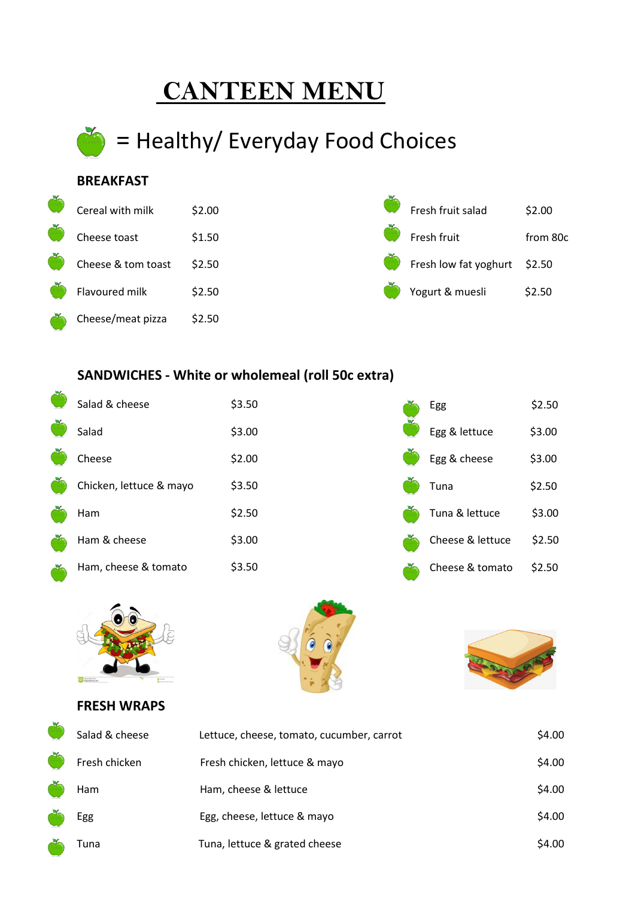# **CANTEEN MENU**



## **BREAKFAST**



## **SANDWICHES - White or wholemeal (roll 50c extra)**

| Salad & cheese          | \$3.50 | Egg              | \$2.50 |
|-------------------------|--------|------------------|--------|
| Salad                   | \$3.00 | Egg & lettuce    | \$3.00 |
| Cheese                  | \$2.00 | Egg & cheese     | \$3.00 |
| Chicken, lettuce & mayo | \$3.50 | Tuna             | \$2.50 |
| Ham                     | \$2.50 | Tuna & lettuce   | \$3.00 |
| Ham & cheese            | \$3.00 | Cheese & lettuce | \$2.50 |
| Ham, cheese & tomato    | \$3.50 | Cheese & tomato  | \$2.50 |



# **FRESH WRAPS**



| Salad & cheese | Lettuce, cheese, tomato, cucumber, carrot | \$4.00 |
|----------------|-------------------------------------------|--------|
| Fresh chicken  | Fresh chicken, lettuce & mayo             | \$4.00 |
| Ham            | Ham, cheese & lettuce                     | \$4.00 |
| Egg            | Egg, cheese, lettuce & mayo               | \$4.00 |
| Tuna           | Tuna, lettuce & grated cheese             | \$4.00 |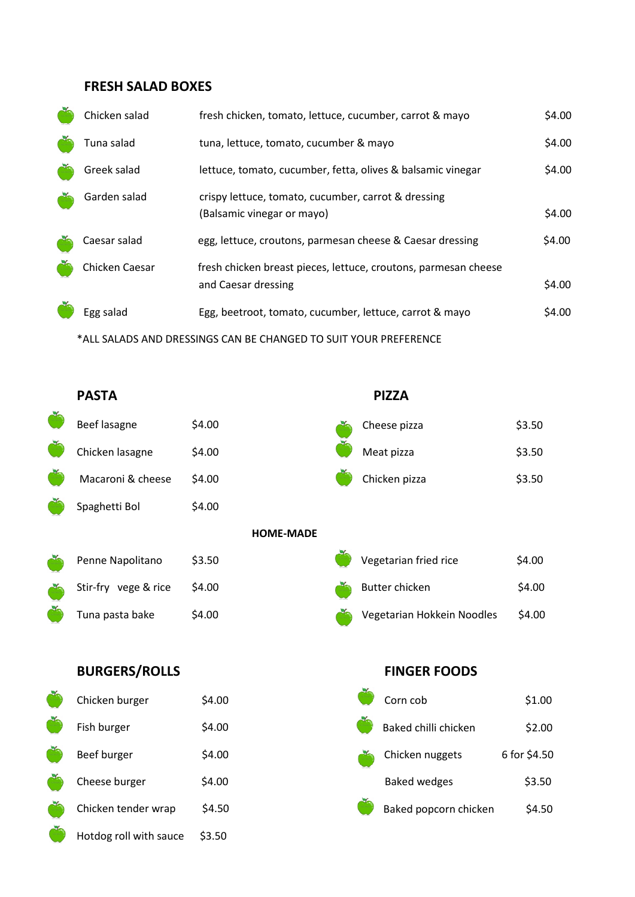### **FRESH SALAD BOXES**

Hotdog roll with sauce \$3.50

| Chicken salad                                                    | fresh chicken, tomato, lettuce, cucumber, carrot & mayo                                | \$4.00 |  |
|------------------------------------------------------------------|----------------------------------------------------------------------------------------|--------|--|
| Tuna salad                                                       | tuna, lettuce, tomato, cucumber & mayo                                                 | \$4.00 |  |
| Greek salad                                                      | lettuce, tomato, cucumber, fetta, olives & balsamic vinegar                            | \$4.00 |  |
| Garden salad                                                     | crispy lettuce, tomato, cucumber, carrot & dressing<br>(Balsamic vinegar or mayo)      | \$4.00 |  |
| Caesar salad                                                     | egg, lettuce, croutons, parmesan cheese & Caesar dressing                              | \$4.00 |  |
| Chicken Caesar                                                   | fresh chicken breast pieces, lettuce, croutons, parmesan cheese<br>and Caesar dressing | \$4.00 |  |
| Egg salad                                                        | Egg, beetroot, tomato, cucumber, lettuce, carrot & mayo                                | \$4.00 |  |
| *ALL SALADS AND DRESSINGS CAN BE CHANGED TO SUIT YOUR PREFERENCE |                                                                                        |        |  |

**PASTA PIZZA** Beef lasagne \$4.00 \$4.00 Seef lasagne \$3.50 Chicken lasagne \$4.00 \$4.00 Meat pizza \$3.50 Macaroni & cheese \$4.00 \$3.50 Spaghetti Bol \$4.00 **HOME-MADE** Penne Napolitano \$3.50 \$3.50 Vegetarian fried rice \$4.00 Stir-fry vege & rice \$4.00 \$4.00 Tuna pasta bake \$4.00 Vegetarian Hokkein Noodles \$4.00 **BURGERS/ROLLS FINGER FOODS** Chicken burger \$4.00 Fish burger \$4.00

| Chicken burger      | \$4.00 | Corn cob              | \$1.00       |
|---------------------|--------|-----------------------|--------------|
| Fish burger         | \$4.00 | Baked chilli chicken  | \$2.00       |
| Beef burger         | \$4.00 | Chicken nuggets       | 6 for \$4.50 |
| Cheese burger       | \$4.00 | <b>Baked wedges</b>   | \$3.50       |
| Chicken tender wrap | \$4.50 | Baked popcorn chicken | \$4.50       |